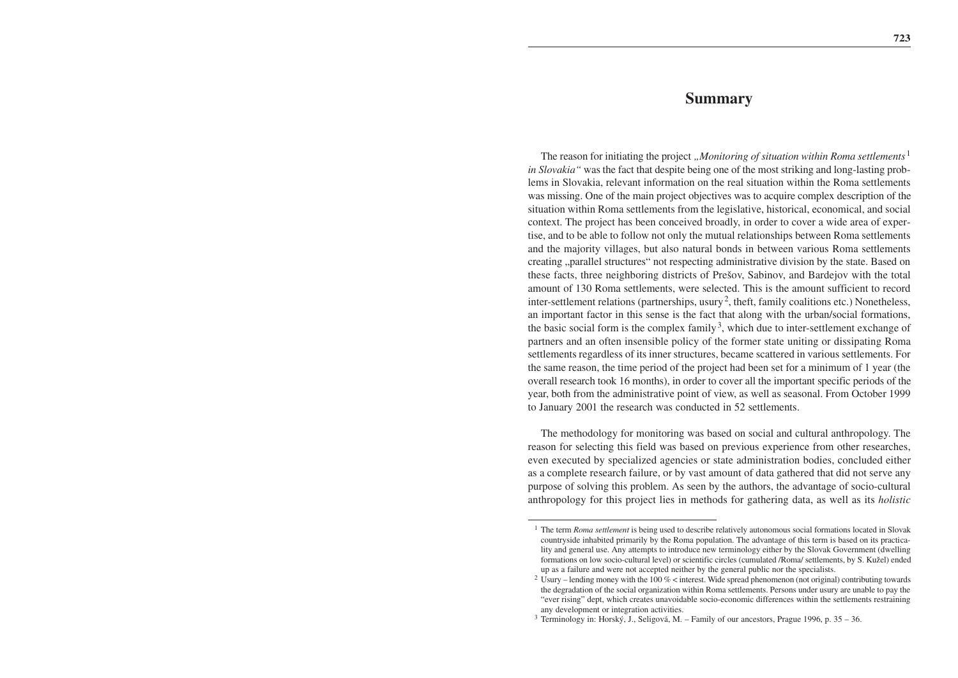## **Summary**

The reason for initiating the project *"Monitoring of situation within Roma settlements*<sup>1</sup> *in Slovakia"* was the fact that despite being one of the most striking and long-lasting problems in Slovakia, relevant information on the real situation within the Roma settlements was missing. One of the main project objectives was to acquire complex description of the situation within Roma settlements from the legislative, historical, economical, and social context. The project has been conceived broadly, in order to cover a wide area of expertise, and to be able to follow not only the mutual relationships between Roma settlements and the majority villages, but also natural bonds in between various Roma settlements creating "parallel structures" not respecting administrative division by the state. Based on these facts, three neighboring districts of Prešov, Sabinov, and Bardejov with the total amount of 130 Roma settlements, were selected. This is the amount sufficient to record inter-settlement relations (partnerships, usury<sup>2</sup>, theft, family coalitions etc.) Nonetheless, an important factor in this sense is the fact that along with the urban/social formations, the basic social form is the complex family<sup>3</sup>, which due to inter-settlement exchange of partners and an often insensible policy of the former state uniting or dissipating Roma settlements regardless of its inner structures, became scattered in various settlements. For the same reason, the time period of the project had been set for a minimum of 1 year (the overall research took 16 months), in order to cover all the important specific periods of the year, both from the administrative point of view, as well as seasonal. From October 1999 to January 2001 the research was conducted in 52 settlements.

The methodology for monitoring was based on social and cultural anthropology. The reason for selecting this field was based on previous experience from other researches, even executed by specialized agencies or state administration bodies, concluded either as a complete research failure, or by vast amount of data gathered that did not serve any purpose of solving this problem. As seen by the authors, the advantage of socio-cultural anthropology for this project lies in methods for gathering data, as well as its *holistic*

<sup>&</sup>lt;sup>1</sup> The term *Roma settlement* is being used to describe relatively autonomous social formations located in Slovak countryside inhabited primarily by the Roma population. The advantage of this term is based on its practicality and general use. Any attempts to introduce new terminology either by the Slovak Government (dwelling formations on low socio-cultural level) or scientific circles (cumulated /Roma/ settlements, by S. Kužel) ended up as a failure and were not accepted neither by the general public nor the specialists.

<sup>2</sup> Usury – lending money with the 100 % < interest. Wide spread phenomenon (not original) contributing towards the degradation of the social organization within Roma settlements. Persons under usury are unable to pay the "ever rising" dept, which creates unavoidable socio-economic differences within the settlements restraining any development or integration activities.

 $3$  Terminology in: Horský, J., Seligová, M. – Family of our ancestors, Prague 1996, p.  $35 - 36$ .